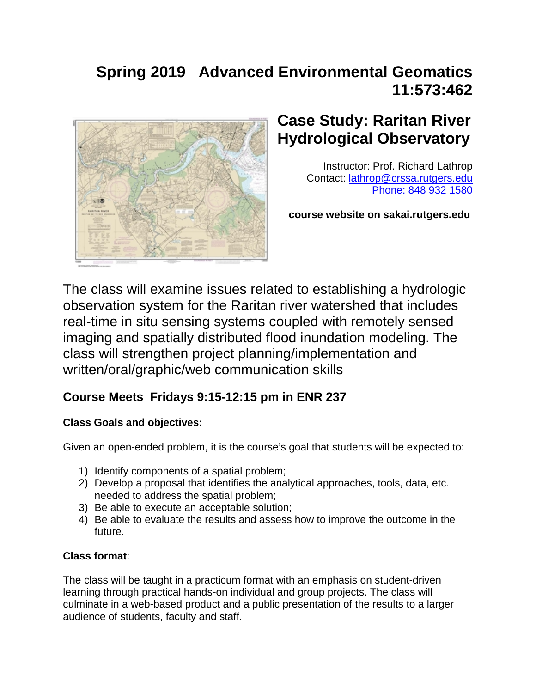# **Spring 2019 Advanced Environmental Geomatics 11:573:462**



# **Case Study: Raritan River Hydrological Observatory**

Instructor: Prof. Richard Lathrop Contact: [lathrop@crssa.rutgers.edu](mailto:lathrop@crssa.rutgers.edu)  Phone: 848 932 1580

 **course website on sakai.rutgers.edu**

The class will examine issues related to establishing a hydrologic observation system for the Raritan river watershed that includes real-time in situ sensing systems coupled with remotely sensed imaging and spatially distributed flood inundation modeling. The class will strengthen project planning/implementation and written/oral/graphic/web communication skills

# **Course Meets Fridays 9:15-12:15 pm in ENR 237**

## **Class Goals and objectives:**

Given an open-ended problem, it is the course's goal that students will be expected to:

- 1) Identify components of a spatial problem;
- 2) Develop a proposal that identifies the analytical approaches, tools, data, etc. needed to address the spatial problem;
- 3) Be able to execute an acceptable solution;
- 4) Be able to evaluate the results and assess how to improve the outcome in the future.

# **Class format**:

The class will be taught in a practicum format with an emphasis on student-driven learning through practical hands-on individual and group projects. The class will culminate in a web-based product and a public presentation of the results to a larger audience of students, faculty and staff.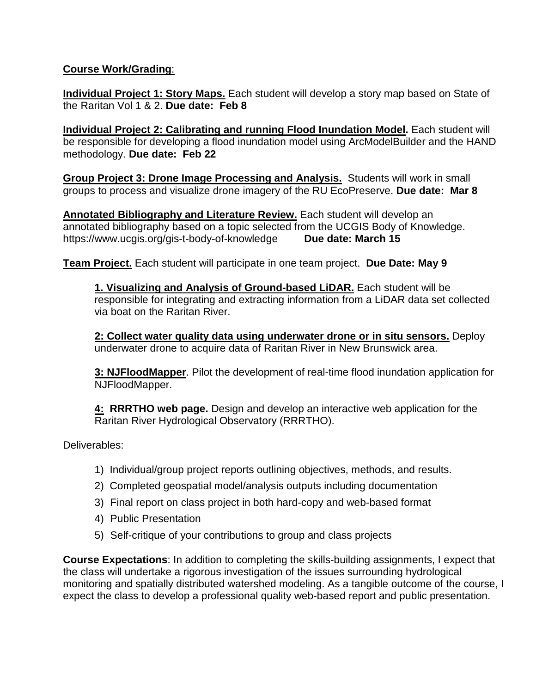### **Course Work/Grading**:

**Individual Project 1: Story Maps.** Each student will develop a story map based on State of the Raritan Vol 1 & 2. **Due date: Feb 8**

**Individual Project 2: Calibrating and running Flood Inundation Model.** Each student will be responsible for developing a flood inundation model using ArcModelBuilder and the HAND methodology. **Due date: Feb 22**

**Group Project 3: Drone Image Processing and Analysis.** Students will work in small groups to process and visualize drone imagery of the RU EcoPreserve. **Due date: Mar 8**

**Annotated Bibliography and Literature Review.** Each student will develop an annotated bibliography based on a topic selected from the UCGIS Body of Knowledge. https://www.ucgis.org/gis-t-body-of-knowledge **Due date: March 15**

**Team Project.** Each student will participate in one team project. **Due Date: May 9**

**1. Visualizing and Analysis of Ground-based LiDAR.** Each student will be responsible for integrating and extracting information from a LiDAR data set collected via boat on the Raritan River.

**2: Collect water quality data using underwater drone or in situ sensors.** Deploy underwater drone to acquire data of Raritan River in New Brunswick area.

**3: NJFloodMapper**. Pilot the development of real-time flood inundation application for NJFloodMapper.

**4: RRRTHO web page.** Design and develop an interactive web application for the Raritan River Hydrological Observatory (RRRTHO).

Deliverables:

- 1) Individual/group project reports outlining objectives, methods, and results.
- 2) Completed geospatial model/analysis outputs including documentation
- 3) Final report on class project in both hard-copy and web-based format
- 4) Public Presentation
- 5) Self-critique of your contributions to group and class projects

**Course Expectations**: In addition to completing the skills-building assignments, I expect that the class will undertake a rigorous investigation of the issues surrounding hydrological monitoring and spatially distributed watershed modeling. As a tangible outcome of the course, I expect the class to develop a professional quality web-based report and public presentation.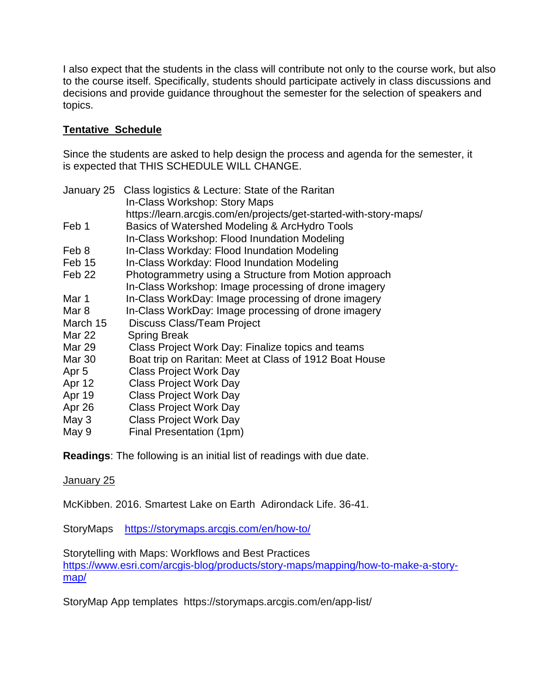I also expect that the students in the class will contribute not only to the course work, but also to the course itself. Specifically, students should participate actively in class discussions and decisions and provide guidance throughout the semester for the selection of speakers and topics.

### **Tentative Schedule**

Since the students are asked to help design the process and agenda for the semester, it is expected that THIS SCHEDULE WILL CHANGE.

| January 25       | Class logistics & Lecture: State of the Raritan<br>In-Class Workshop: Story Maps |
|------------------|----------------------------------------------------------------------------------|
|                  | https://learn.arcgis.com/en/projects/get-started-with-story-maps/                |
| Feb 1            | Basics of Watershed Modeling & ArcHydro Tools                                    |
|                  | In-Class Workshop: Flood Inundation Modeling                                     |
| Feb 8            | In-Class Workday: Flood Inundation Modeling                                      |
| Feb 15           | In-Class Workday: Flood Inundation Modeling                                      |
| Feb 22           | Photogrammetry using a Structure from Motion approach                            |
|                  | In-Class Workshop: Image processing of drone imagery                             |
| Mar 1            | In-Class WorkDay: Image processing of drone imagery                              |
| Mar 8            | In-Class WorkDay: Image processing of drone imagery                              |
| March 15         | <b>Discuss Class/Team Project</b>                                                |
| <b>Mar 22</b>    | <b>Spring Break</b>                                                              |
| <b>Mar 29</b>    | Class Project Work Day: Finalize topics and teams                                |
| <b>Mar 30</b>    | Boat trip on Raritan: Meet at Class of 1912 Boat House                           |
| Apr <sub>5</sub> | <b>Class Project Work Day</b>                                                    |
| Apr 12           | <b>Class Project Work Day</b>                                                    |
| Apr 19           | <b>Class Project Work Day</b>                                                    |
| Apr 26           | <b>Class Project Work Day</b>                                                    |
| May 3            | <b>Class Project Work Day</b>                                                    |
| May 9            | Final Presentation (1pm)                                                         |
|                  |                                                                                  |

**Readings**: The following is an initial list of readings with due date.

### January 25

McKibben. 2016. Smartest Lake on Earth Adirondack Life. 36-41.

StoryMaps <https://storymaps.arcgis.com/en/how-to/>

Storytelling with Maps: Workflows and Best Practices [https://www.esri.com/arcgis-blog/products/story-maps/mapping/how-to-make-a-story](https://www.esri.com/arcgis-blog/products/story-maps/mapping/how-to-make-a-story-map/)[map/](https://www.esri.com/arcgis-blog/products/story-maps/mapping/how-to-make-a-story-map/)

StoryMap App templates https://storymaps.arcgis.com/en/app-list/